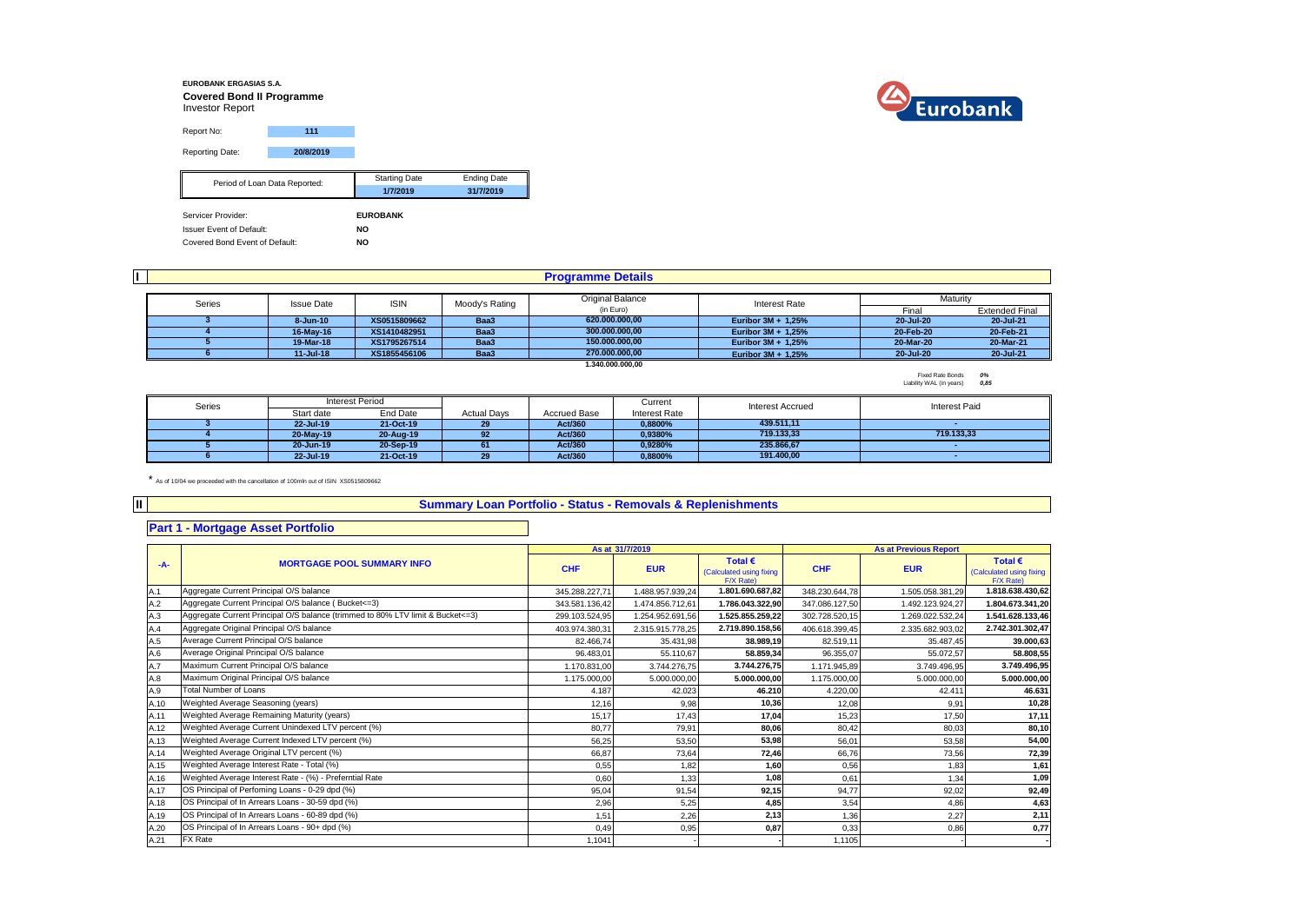#### **EUROBANK ERGASIAS S.A. Covered Bond II Programme** Investor Report Report No: **111** Reporting Date: **20/8/2019** Starting Date **Ending Date 1/7/2019 31/7/2019** Servicer Provider: **EUROBANK** Issuer Event of Default: **NO** Period of Loan Data Reported:

Covered Bond Event of Default: **NO**

|                                       |        | <b>Programme Details</b> |                    |                |                  |                    |                                                                                                                          |  |  |  |  |  |
|---------------------------------------|--------|--------------------------|--------------------|----------------|------------------|--------------------|--------------------------------------------------------------------------------------------------------------------------|--|--|--|--|--|
| Original Balance                      |        |                          |                    |                |                  |                    |                                                                                                                          |  |  |  |  |  |
|                                       | Series | <b>Issue Date</b>        | <b>ISIN</b>        | Moody's Rating | (in Euro)        | Interest Rate      | Maturity<br><b>Extended Final</b><br>Final<br>20 Jul 21<br>20-Jul-20<br>20-Feb-21<br>20-Feb-20<br>20-Mar-21<br>20-Mar-20 |  |  |  |  |  |
|                                       |        | 8-Jun-10                 | XS0515809662       | Baa3           | 620.000.000.00   | Euribor 3M + 1,25% |                                                                                                                          |  |  |  |  |  |
|                                       |        | 16-May-16                | XS1410482951       | Baa3           | 300.000.000,00   | Euribor 3M + 1.25% |                                                                                                                          |  |  |  |  |  |
|                                       |        | 19-Mar-18                | XS1795267514       | Baa3           | 150.000.000.00   | Euribor 3M + 1.25% |                                                                                                                          |  |  |  |  |  |
| Baa3<br>XS1855456106<br>$11 -$ Jul-18 |        | 270.000.000,00           | Euribor 3M + 1,25% | 20-Jul-20      | 20 Jul 21        |                    |                                                                                                                          |  |  |  |  |  |
|                                       |        |                          |                    |                | 1.340.000.000.00 |                    |                                                                                                                          |  |  |  |  |  |

Fixed Rate Bonds *0%* Liability WAL (in years) *0,85*

| Series | Interest Period |           |                    |                     | Current       | Interest Accrued | Interest Paid |
|--------|-----------------|-----------|--------------------|---------------------|---------------|------------------|---------------|
|        | Start date      | End Date  | <b>Actual Davs</b> | <b>Accrued Base</b> | Interest Rate |                  |               |
|        | 22-Jul-19       | 21-Oct-19 | 29                 | Act/360             | 0.8800%       | 439.511.11       |               |
|        | 20-May-19       | 20-Aug-19 | 92                 | Act/360             | 0.9380%       | 719.133.33       | 719.133.33    |
|        | 20-Jun-19       | 20-Sep-19 |                    | Act/360             | 0.9280%       | 235.866.67       |               |
|        | 22-Jul-19       | 21-Oct-19 | 29                 | Act/360             | 0.8800%       | 191.400.00       |               |

\* As of 10/04 we proceeded with the cancellation of 100mln out of ISIN XS0515809662

#### **Summary Loan Portfolio - Status - Removals & Replenishments**

## **Part 1 - Mortgage Asset Portfolio**

**II**

|       |                                                                                |                | As at 31/7/2019  |                                                           |                | <b>As at Previous Report</b> |                                                           |  |
|-------|--------------------------------------------------------------------------------|----------------|------------------|-----------------------------------------------------------|----------------|------------------------------|-----------------------------------------------------------|--|
| $-A-$ | <b>MORTGAGE POOL SUMMARY INFO</b>                                              | <b>CHF</b>     | <b>EUR</b>       | Total $\epsilon$<br>(Calculated using fixing<br>F/X Rate) | <b>CHF</b>     | <b>EUR</b>                   | Total $\epsilon$<br>(Calculated using fixing<br>F/X Rate) |  |
| A.1   | Aggregate Current Principal O/S balance                                        | 345.288.227,71 | 1.488.957.939,24 | 1.801.690.687,82                                          | 348.230.644,78 | 1.505.058.381,29             | 1.818.638.430,62                                          |  |
| A.2   | Aggregate Current Principal O/S balance (Bucket <= 3)                          | 343.581.136,42 | 1.474.856.712,61 | 1.786.043.322,90                                          | 347.086.127,50 | 1.492.123.924,27             | 1.804.673.341,20                                          |  |
| A.3   | Aggregate Current Principal O/S balance (trimmed to 80% LTV limit & Bucket<=3) | 299.103.524,95 | 1.254.952.691,56 | 1.525.855.259.22                                          | 302.728.520,15 | 1.269.022.532,24             | 1.541.628.133,46                                          |  |
| A.4   | Aggregate Original Principal O/S balance                                       | 403.974.380,31 | 2.315.915.778,25 | 2.719.890.158,56                                          | 406.618.399,45 | 2.335.682.903,02             | 2.742.301.302,47                                          |  |
| A.5   | Average Current Principal O/S balance                                          | 82.466.74      | 35.431.98        | 38.989.19                                                 | 82.519.11      | 35.487.45                    | 39.000,63                                                 |  |
| A.6   | Average Original Principal O/S balance                                         | 96.483.01      | 55.110.67        | 58.859.34                                                 | 96.355,07      | 55.072.57                    | 58.808,55                                                 |  |
| A.7   | Maximum Current Principal O/S balance                                          | 1.170.831.00   | 3.744.276.75     | 3.744.276,75                                              | 1.171.945.89   | 3.749.496,95                 | 3.749.496,95                                              |  |
| A.8   | Maximum Original Principal O/S balance                                         | 1.175.000,00   | 5.000.000,00     | 5.000.000.00                                              | 1.175.000,00   | 5.000.000.00                 | 5.000.000,00                                              |  |
| A.9   | <b>Total Number of Loans</b>                                                   | 4.187          | 42.023           | 46.210                                                    | 4.220.00       | 42.411                       | 46.631                                                    |  |
| A.10  | Weighted Average Seasoning (years)                                             | 12,16          | 9.98             | 10.36                                                     | 12.08          | 9.91                         | 10,28                                                     |  |
| A.11  | Weighted Average Remaining Maturity (years)                                    | 15,17          | 17,43            | 17,04                                                     | 15,23          | 17,50                        | 17,11                                                     |  |
| A.12  | Weighted Average Current Unindexed LTV percent (%)                             | 80,77          | 79,91            | 80,06                                                     | 80,42          | 80,03                        | 80,10                                                     |  |
| A.13  | Weighted Average Current Indexed LTV percent (%)                               | 56,25          | 53,50            | 53,98                                                     | 56,01          | 53,58                        | 54,00                                                     |  |
| A.14  | Weighted Average Original LTV percent (%)                                      | 66,87          | 73,64            | 72,46                                                     | 66,76          | 73,56                        | 72,39                                                     |  |
| A.15  | Weighted Average Interest Rate - Total (%)                                     | 0,55           | 1,82             | 1,60                                                      | 0,56           | 1,83                         | 1,61                                                      |  |
| A.16  | Weighted Average Interest Rate - (%) - Preferntial Rate                        | 0.60           | 1.33             | 1.08                                                      | 0.61           | 1.34                         | 1,09                                                      |  |
| A.17  | OS Principal of Perfoming Loans - 0-29 dpd (%)                                 | 95,04          | 91,54            | 92,15                                                     | 94.77          | 92,02                        | 92,49                                                     |  |
| A.18  | OS Principal of In Arrears Loans - 30-59 dpd (%)                               | 2,96           | 5,25             | 4,85                                                      | 3,54           | 4,86                         | 4,63                                                      |  |
| A.19  | OS Principal of In Arrears Loans - 60-89 dpd (%)                               | 1,51           | 2,26             | 2,13                                                      | 1,36           | 2,27                         | 2,11                                                      |  |
| A.20  | OS Principal of In Arrears Loans - 90+ dpd (%)                                 | 0.49           | 0,95             | 0,87                                                      | 0,33           | 0,86                         | 0,77                                                      |  |
| A.21  | FX Rate                                                                        | 1,1041         |                  |                                                           | 1.1105         |                              |                                                           |  |

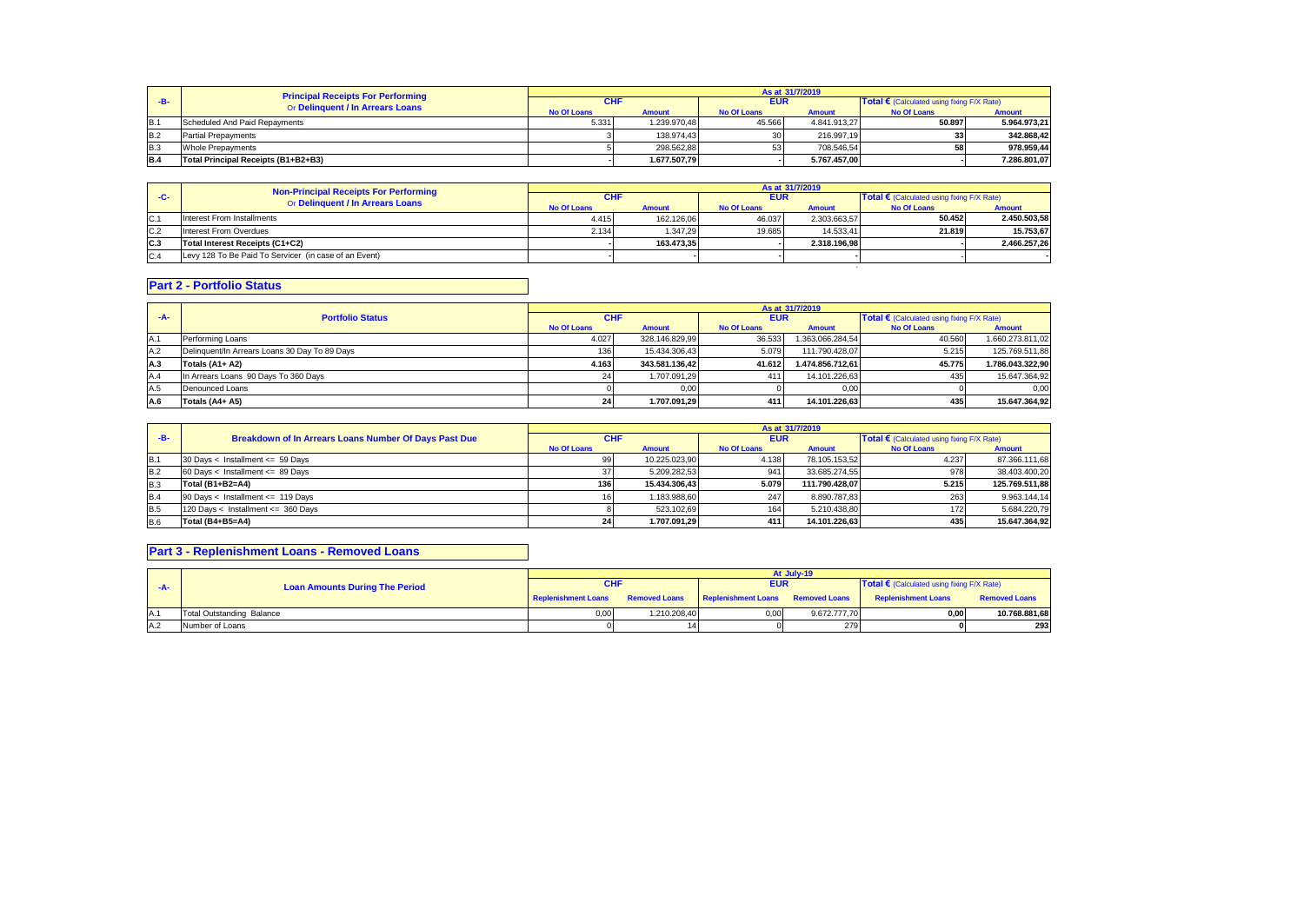|                | <b>Principal Receipts For Performing</b> | As at 31/7/2019    |               |                    |               |                                                   |              |  |
|----------------|------------------------------------------|--------------------|---------------|--------------------|---------------|---------------------------------------------------|--------------|--|
| -R-            | Or Delinquent / In Arrears Loans         |                    |               | <b>EUR</b>         |               | <b>Total €</b> (Calculated using fixing F/X Rate) |              |  |
|                |                                          | <b>No Of Loans</b> | <b>Amount</b> | <b>No Of Loans</b> | <b>Amount</b> | <b>No Of Loans</b>                                | Amount       |  |
| IB.            | Scheduled And Paid Repayments            | 5.331              | 1.239.970.48  | 45.566             | 4.841.913.27  | 50.897                                            | 5.964.973,21 |  |
| <b>B.2</b>     | <b>Partial Prepayments</b>               |                    | 138.974.43    | 30 <sup>1</sup>    | 216.997.19    |                                                   | 342.868,42   |  |
| B <sub>3</sub> | Whole Prepayments                        |                    | 298.562.88    | 53 <sub>1</sub>    | 708.546.54    | 58                                                | 978.959,44   |  |
| <b>B.4</b>     | Total Principal Receipts (B1+B2+B3)      |                    | 1.677.507.79  |                    | 5.767.457.00  |                                                   | 7.286.801,07 |  |

|       | <b>Non-Principal Receipts For Performing</b>          | As at 31/7/2019    |               |                    |               |                                                   |                                            |  |
|-------|-------------------------------------------------------|--------------------|---------------|--------------------|---------------|---------------------------------------------------|--------------------------------------------|--|
| $-C-$ | Or Delinquent / In Arrears Loans                      | <b>CHF</b>         |               | <b>EUR</b>         |               | <b>Total €</b> (Calculated using fixing F/X Rate) |                                            |  |
|       |                                                       | <b>No Of Loans</b> | <b>Amount</b> | <b>No Of Loans</b> | <b>Amount</b> | <b>No Of Loans</b>                                | <b>Amount</b><br>2.450.503.58<br>15.753.67 |  |
| C.1   | Interest From Installments                            | 4.415              | 162.126.06    | 46.037             | 2.303.663.57  | 50.452                                            |                                            |  |
| C.2   | Interest From Overdues                                | 2.134              | 1.347.29      | 19.685             | 14.533.41     | 21.819                                            |                                            |  |
| C.3   | Total Interest Receipts (C1+C2)                       |                    | 163.473.35    |                    | 2.318.196.98  |                                                   | 2.466.257.26                               |  |
| C.4   | Levy 128 To Be Paid To Servicer (in case of an Event) |                    |               |                    |               |                                                   |                                            |  |
|       |                                                       |                    |               |                    |               |                                                   |                                            |  |

## **Part 2 - Portfolio Status**

|       |                                               | As at 31/7/2019    |                |                    |                  |                                            |                  |  |
|-------|-----------------------------------------------|--------------------|----------------|--------------------|------------------|--------------------------------------------|------------------|--|
| $-A-$ | <b>Portfolio Status</b>                       | <b>CHF</b>         |                | <b>EUR</b>         |                  | Total € (Calculated using fixing F/X Rate) |                  |  |
|       |                                               | <b>No Of Loans</b> | <b>Amount</b>  | <b>No Of Loans</b> | <b>Amount</b>    | <b>No Of Loans</b>                         | <b>Amount</b>    |  |
| A.1   | Performing Loans                              | 4.027              | 328.146.829.99 | 36.533             | 1.363.066.284.54 | 40.560                                     | 1.660.273.811,02 |  |
| A.2   | Delinquent/In Arrears Loans 30 Day To 89 Days | 136 I              | 15.434.306.43  | 5.079              | 111.790.428.07   | 5.215                                      | 125.769.511,88   |  |
| A.3   | Totals (A1+ A2)                               | 4.163              | 343.581.136.42 | 41.612             | 1.474.856.712.61 | 45.775                                     | 1.786.043.322,90 |  |
| A.4   | In Arrears Loans 90 Days To 360 Days          |                    | 1.707.091.29   | 411                | 14.101.226.63    |                                            | 15.647.364,92    |  |
| A.5   | Denounced Loans                               |                    | 0.00           |                    | 0,00             |                                            | 0,00             |  |
| A.6   | Totals (A4+ A5)                               | <b>241</b>         | 1.707.091.29   | 411                | 14.101.226.63    | 435                                        | 15.647.364,92    |  |

|            |                                                       | As at 31/7/2019    |               |                    |                |                                                     |                |  |
|------------|-------------------------------------------------------|--------------------|---------------|--------------------|----------------|-----------------------------------------------------|----------------|--|
| $-B-$      | Breakdown of In Arrears Loans Number Of Days Past Due | <b>CHF</b>         |               | <b>EUR</b>         |                | Total $\epsilon$ (Calculated using fixing F/X Rate) |                |  |
|            |                                                       | <b>No Of Loans</b> | <b>Amount</b> | <b>No Of Loans</b> | <b>Amount</b>  | <b>No Of Loans</b>                                  | <b>Amount</b>  |  |
| <b>B.1</b> | 30 Days < Installment <= 59 Days                      | 99                 | 10.225.023.90 | 4.138              | 78.105.153.52  | 4.237                                               | 87.366.111,68  |  |
| <b>B.2</b> | 60 Days < Installment <= 89 Days                      |                    | 5.209.282.53  | 941                | 33.685.274.55  | 978                                                 | 38.403.400,20  |  |
| <b>B.3</b> | Total (B1+B2=A4)                                      | 136                | 15.434.306.43 | 5.079              | 111.790.428.07 | 5.215                                               | 125.769.511,88 |  |
| <b>B.4</b> | 90 Days < Installment <= 119 Days                     |                    | 1.183.988.60  | 247                | 8.890.787.83   | 263                                                 | 9.963.144,14   |  |
| <b>B.5</b> | 120 Days < Installment <= 360 Days                    |                    | 523.102.69    | 164                | 5.210.438.80   | 172                                                 | 5.684.220,79   |  |
| <b>B.6</b> | Total (B4+B5=A4)                                      | 24                 | 1.707.091.29  | 411                | 14.101.226.63  | 435                                                 | 15.647.364.92  |  |

# **Part 3 - Replenishment Loans - Removed Loans**

|     |                                       | At July-19          |              |                                                 |              |                                            |                      |  |
|-----|---------------------------------------|---------------------|--------------|-------------------------------------------------|--------------|--------------------------------------------|----------------------|--|
| -A- | <b>Loan Amounts During The Period</b> |                     |              | <b>EUR</b>                                      |              | Total € (Calculated using fixing F/X Rate) |                      |  |
|     |                                       | Replenishment Loans |              | Removed Loans Replenishment Loans Removed Loans |              | <b>Replenishment Loans</b>                 | <b>Removed Loans</b> |  |
| A.1 | <b>Total Outstanding Balance</b>      | 0.00                | 1.210.208.40 | 0,00                                            | 9.672.777.70 | 0,00                                       | 10.768.881,68        |  |
| A.2 | Number of Loans                       |                     |              |                                                 | 279          |                                            | 293                  |  |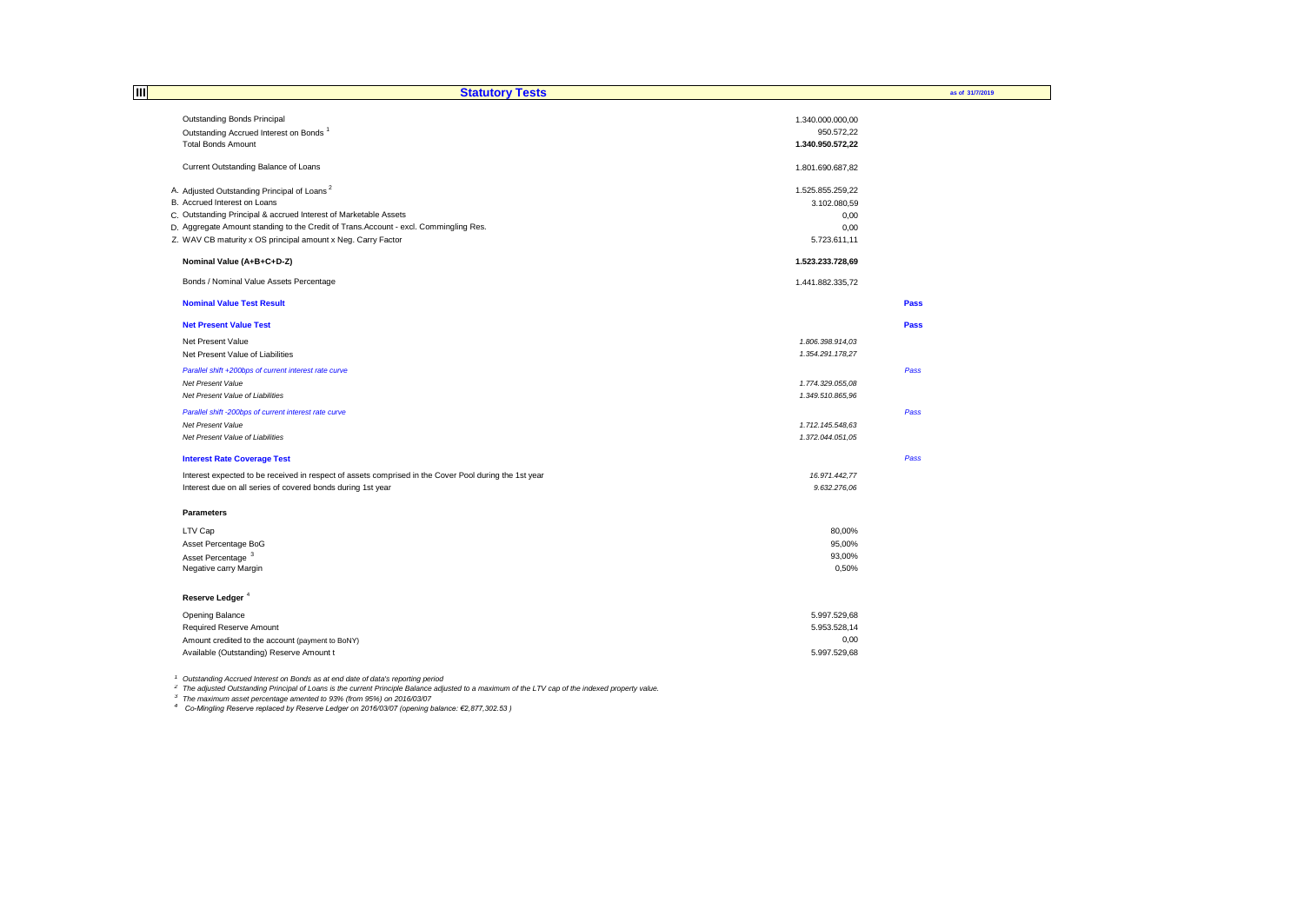| 目<br><b>Statutory Tests</b>                                                                           |                  | as of 31/7/2019 |
|-------------------------------------------------------------------------------------------------------|------------------|-----------------|
|                                                                                                       |                  |                 |
| Outstanding Bonds Principal                                                                           | 1.340.000.000,00 |                 |
| Outstanding Accrued Interest on Bonds <sup>1</sup>                                                    | 950.572,22       |                 |
| <b>Total Bonds Amount</b>                                                                             | 1.340.950.572,22 |                 |
| Current Outstanding Balance of Loans                                                                  | 1.801.690.687,82 |                 |
| A. Adjusted Outstanding Principal of Loans <sup>2</sup>                                               | 1.525.855.259,22 |                 |
| B. Accrued Interest on Loans                                                                          | 3.102.080,59     |                 |
| C. Outstanding Principal & accrued Interest of Marketable Assets                                      | 0,00             |                 |
| D. Aggregate Amount standing to the Credit of Trans. Account - excl. Commingling Res.                 | 0,00             |                 |
| Z. WAV CB maturity x OS principal amount x Neg. Carry Factor                                          | 5.723.611,11     |                 |
| Nominal Value (A+B+C+D-Z)                                                                             | 1.523.233.728,69 |                 |
| Bonds / Nominal Value Assets Percentage                                                               | 1.441.882.335,72 |                 |
| <b>Nominal Value Test Result</b>                                                                      |                  | Pass            |
| <b>Net Present Value Test</b>                                                                         |                  | Pass            |
| Net Present Value                                                                                     | 1.806.398.914,03 |                 |
| Net Present Value of Liabilities                                                                      | 1.354.291.178,27 |                 |
| Parallel shift +200bps of current interest rate curve                                                 |                  | Pass            |
| Net Present Value                                                                                     | 1.774.329.055,08 |                 |
| Net Present Value of Liabilities                                                                      | 1.349.510.865,96 |                 |
| Parallel shift -200bps of current interest rate curve                                                 |                  | Pass            |
| Net Present Value                                                                                     | 1.712.145.548,63 |                 |
| Net Present Value of Liabilities                                                                      | 1.372.044.051,05 |                 |
| <b>Interest Rate Coverage Test</b>                                                                    |                  | Pass            |
| Interest expected to be received in respect of assets comprised in the Cover Pool during the 1st year | 16.971.442,77    |                 |
| Interest due on all series of covered bonds during 1st year                                           | 9.632.276,06     |                 |
| Parameters                                                                                            |                  |                 |
| LTV Cap                                                                                               | 80,00%           |                 |
| Asset Percentage BoG                                                                                  | 95,00%           |                 |
| Asset Percentage <sup>3</sup>                                                                         | 93,00%           |                 |
| Negative carry Margin                                                                                 | 0,50%            |                 |
| Reserve Ledger <sup>4</sup>                                                                           |                  |                 |
| Opening Balance                                                                                       | 5.997.529,68     |                 |
| Required Reserve Amount                                                                               | 5.953.528,14     |                 |
| Amount credited to the account (payment to BoNY)                                                      | 0,00             |                 |
| Available (Outstanding) Reserve Amount t                                                              | 5.997.529,68     |                 |
|                                                                                                       |                  |                 |

<sup>1</sup> Outstanding Accrued Interest on Bonds as at end date of data's reporting period<br><sup>2</sup> The adjusted Outstanding Principal of Loans is the current Principle Balance adjusted to a maximum of the LTV cap of the indexed prope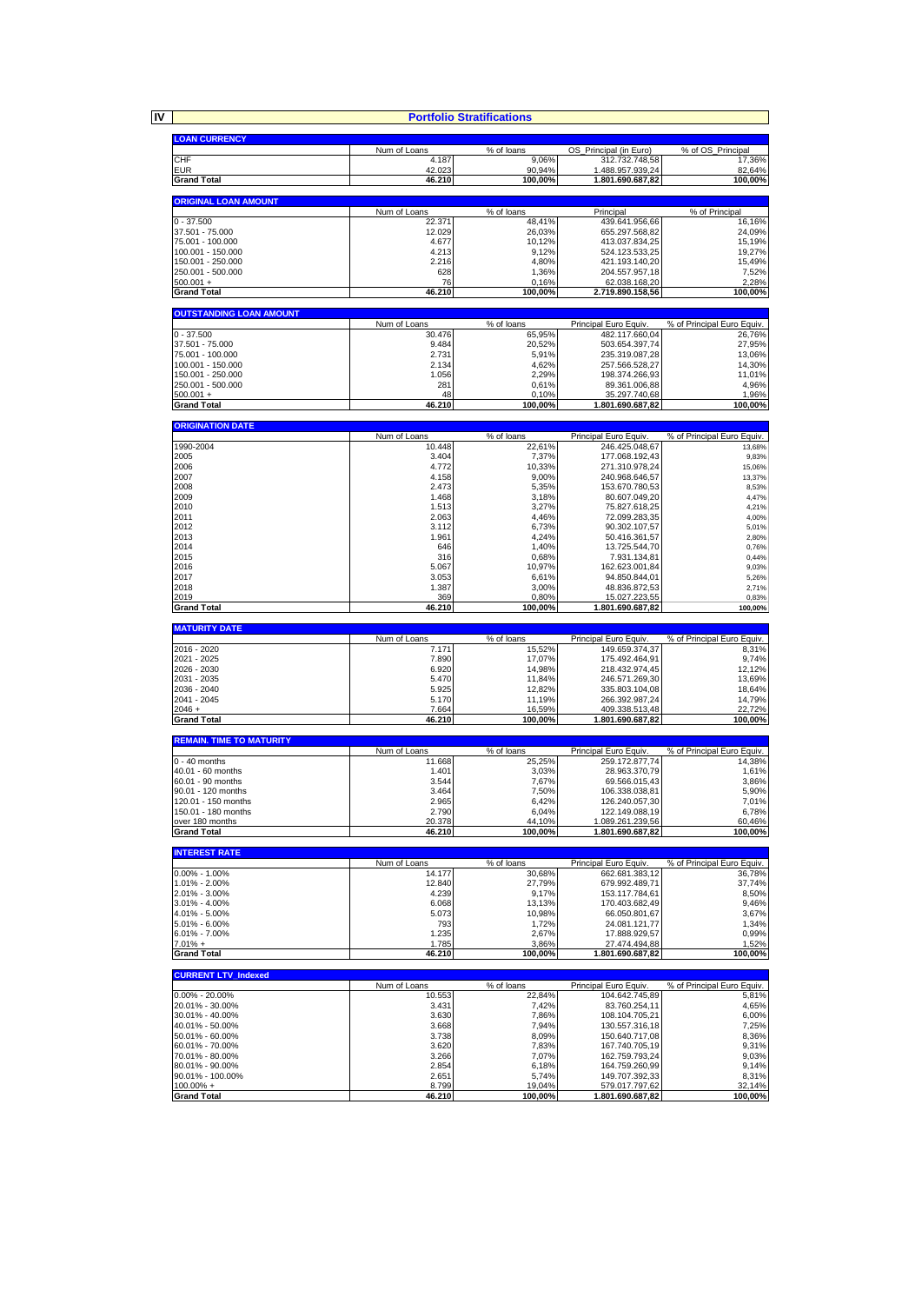**IV**

|                                         |                        | <b>Portfolio Stratifications</b> |                                   |                            |
|-----------------------------------------|------------------------|----------------------------------|-----------------------------------|----------------------------|
|                                         |                        |                                  |                                   |                            |
| <b>LOAN CURRENCY</b>                    | Num of Loans           | % of loans                       | OS Principal (in Euro)            | % of OS_Principal          |
| CHF                                     | 4.187                  | 9,06%                            | 312.732.748,58                    | 17,36%                     |
| <b>EUR</b>                              | 42.023                 | 90,94%                           | 1.488.957.939,24                  | 82,64%                     |
| <b>Grand Total</b>                      | 46.210                 | 100,00%                          | 1.801.690.687,82                  | 100,00%                    |
| <b>ORIGINAL LOAN AMOUNT</b>             |                        |                                  |                                   |                            |
|                                         | Num of Loans           | % of loans                       | Principal                         | % of Principal             |
| $0 - 37.500$<br>37.501 - 75.000         | 22.371<br>12.029       | 48,41%<br>26,03%                 | 439.641.956,66<br>655.297.568,82  | 16,16%<br>24,09%           |
| 75.001 - 100.000                        | 4.677                  | 10,12%                           | 413.037.834,25                    | 15,19%                     |
| 100.001 - 150.000                       | 4.213                  | 9,12%                            | 524.123.533,25                    | 19,27%                     |
| 150.001 - 250.000<br>250.001 - 500.000  | 2.216<br>628           | 4,80%<br>1,36%                   | 421.193.140,20<br>204.557.957,18  | 15,49%<br>7,52%            |
| 500.001 +                               | 76                     | 0,16%                            | 62.038.168,20                     | 2,28%                      |
| <b>Grand Total</b>                      | 46.210                 | 100,00%                          | 2.719.890.158,56                  | 100,00%                    |
|                                         |                        |                                  |                                   |                            |
| <b>OUTSTANDING LOAN AMOUNT</b>          | Num of Loans           | % of loans                       | Principal Euro Equiv.             | % of Principal Euro Equiv. |
| $0 - 37.500$                            | 30.476                 | 65,95%                           | 482.117.660,04                    | 26,76%                     |
| 37.501 - 75.000                         | 9.484                  | 20,52%                           | 503.654.397,74                    | 27,95%                     |
| 75.001 - 100.000<br>100.001 - 150.000   | 2.731<br>2.134         | 5,91%<br>4,62%                   | 235.319.087,28<br>257.566.528,27  | 13,06%<br>14,30%           |
| 150.001 - 250.000                       | 1.056                  | 2,29%                            | 198.374.266,93                    | 11,01%                     |
| 250.001 - 500.000                       | 281                    | 0,61%                            | 89.361.006,88                     | 4,96%                      |
| $500.001 +$<br><b>Grand Total</b>       | 48<br>46.210           | 0,10%<br>100,00%                 | 35.297.740,68<br>1.801.690.687,82 | 1,96%                      |
|                                         |                        |                                  |                                   | 100,00%                    |
| <b>ORIGINATION DATE</b>                 |                        |                                  |                                   |                            |
|                                         | Num of Loans<br>10.448 | % of loans                       | Principal Euro Equiv              | % of Principal Euro Equiv. |
| 1990-2004<br>2005                       | 3.404                  | 22,61%<br>7,37%                  | 246.425.048,67<br>177.068.192,43  | 13,68%<br>9,83%            |
| 2006                                    | 4.772                  | 10,33%                           | 271.310.978,24                    | 15,06%                     |
| 2007                                    | 4.158                  | 9,00%                            | 240.968.646,57                    | 13,37%                     |
| 2008<br>2009                            | 2.473<br>1.468         | 5.35%<br>3,18%                   | 153.670.780,53<br>80.607.049,20   | 8,53%<br>4,47%             |
| 2010                                    | 1.513                  | 3,27%                            | 75.827.618,25                     | 4,21%                      |
| 2011                                    | 2.063                  | 4,46%                            | 72.099.283,35                     | 4,00%                      |
| 2012                                    | 3.112<br>1.961         | 6,73%                            | 90.302.107,57                     | 5,01%                      |
| 2013<br>2014                            | 646                    | 4,24%<br>1,40%                   | 50.416.361,57<br>13.725.544,70    | 2,80%<br>0,76%             |
| 2015                                    | 316                    | 0,68%                            | 7.931.134,81                      | 0,44%                      |
| 2016                                    | 5.067                  | 10,97%                           | 162.623.001,84                    | 9,03%                      |
| 2017<br>2018                            | 3.053<br>1.387         | 6,61%<br>3,00%                   | 94.850.844,01<br>48.836.872,53    | 5,26%<br>2,71%             |
| 2019                                    | 369                    | 0,80%                            | 15.027.223,55                     | 0,83%                      |
|                                         |                        |                                  |                                   |                            |
| <b>Grand Total</b>                      | 46.210                 | 100,00%                          | 1.801.690.687,82                  | 100,00%                    |
| <b>MATURITY DATE</b>                    |                        |                                  |                                   |                            |
|                                         | Num of Loans           | % of loans                       | Principal Euro Equiv              | % of Principal Euro Equiv. |
| 2016 - 2020                             | 7.171                  | 15,52%                           | 149.659.374,37                    | 8,31%                      |
| 2021 - 2025<br>2026 - 2030              | 7.890<br>6.920         | 17,07%<br>14,98%                 | 175.492.464,91<br>218.432.974,45  | 9,74%<br>12,12%            |
| 2031 - 2035                             | 5.470                  | 11,84%                           | 246.571.269,30                    | 13,69%                     |
| 2036 - 2040                             | 5.925                  | 12,82%                           | 335.803.104,08                    | 18,64%                     |
| 2041 - 2045<br>2046 +                   | 5.170<br>7.664         | 11,19%<br>16,59%                 | 266.392.987,24<br>409.338.513,48  | 14,79%<br>22,72%           |
| <b>Grand Total</b>                      | 46.210                 | 100,00%                          | 1.801.690.687,82                  | 100,00%                    |
|                                         |                        |                                  |                                   |                            |
| <b>REMAIN. TIME TO MATURITY</b>         | Num of Loans           | % of loans                       | Principal Euro Equiv.             | % of Principal Euro Equiv. |
| $0 - 40$ months                         | 11.668                 | 25,25%                           | 259.172.877,74                    | 14,38%                     |
| 40.01 - 60 months                       | 1.401                  | 3,03%                            | 28.963.370,79                     | 1,61%                      |
| 60.01 - 90 months<br>90.01 - 120 months | 3.544<br>3.464         | 7,67%<br>7,50%                   | 69.566.015,43<br>106.338.038.81   | 3,86%<br>5.90%             |
| 120.01 - 150 months                     | 2.965                  | 6,42%                            | 126.240.057,30                    | 7,01%                      |
| 150.01 - 180 months                     | 2.790                  | 6,04%                            | 122.149.088,19                    | 6,78%                      |
| over 180 months                         | 20.378                 | 44,10%                           | 1.089.261.239,56                  | 60,46%                     |
| <b>Grand Total</b>                      | 46.210                 | 100,00%                          | 1.801.690.687,82                  | 100,00%                    |
| <b>INTEREST RATE</b>                    |                        |                                  |                                   |                            |
|                                         | Num of Loans           | % of loans                       | Principal Euro Equiv.             | % of Principal Euro Equiv. |
| $0.00\% - 1.00\%$<br>1.01% - 2.00%      | 14.177<br>12.840       | 30,68%<br>27,79%                 | 662.681.383,12<br>679.992.489,71  | 37,74%                     |
| 2.01% - 3.00%                           | 4.239                  | 9,17%                            | 153.117.784,61                    | 36,78%<br>8,50%            |
| 3.01% - 4.00%                           | 6.068                  | 13,13%                           | 170.403.682,49                    | 9,46%                      |
| 4.01% - 5.00%<br>5.01% - 6.00%          | 5.073<br>793           | 10,98%<br>1,72%                  | 66.050.801,67<br>24.081.121,77    | 3,67%<br>1,34%             |
| $6.01\% - 7.00\%$                       | 1.235                  | 2,67%                            | 17.888.929,57                     | 0,99%                      |
| $7.01% +$                               | 1.785                  | 3,86%                            | 27.474.494,88                     | 1,52%                      |
| <b>Grand Total</b>                      | 46.210                 | 100,00%                          | 1.801.690.687,82                  | 100,00%                    |
| <b>CURRENT LTV Indexed</b>              |                        |                                  |                                   |                            |
|                                         | Num of Loans           | % of loans                       | Principal Euro Equiv.             | % of Principal Euro Equiv. |
| $0.00\% - 20.00\%$                      | 10.553                 | 22,84%                           | 104.642.745,89                    | 5,81%                      |
| 20.01% - 30.00%<br>30.01% - 40.00%      | 3.431<br>3.630         | 7,42%<br>7,86%                   | 83.760.254,11<br>108.104.705,21   | 4,65%<br>6,00%             |
| 40.01% - 50.00%                         | 3.668                  | 7,94%                            | 130.557.316,18                    | 7,25%                      |
| 50.01% - 60.00%                         | 3.738                  | 8,09%                            | 150.640.717,08                    | 8,36%                      |
| 60.01% - 70.00%<br>70.01% - 80.00%      | 3.620<br>3.266         | 7,83%<br>7,07%                   | 167.740.705,19<br>162.759.793,24  | 9,31%<br>9,03%             |
| 80.01% - 90.00%                         | 2.854                  | 6,18%                            | 164.759.260,99                    |                            |
| 90.01% - 100.00%<br>$100.00\% +$        | 2.651<br>8.799         | 5,74%<br>19,04%                  | 149.707.392,33<br>579.017.797,62  | 9,14%<br>8,31%<br>32,14%   |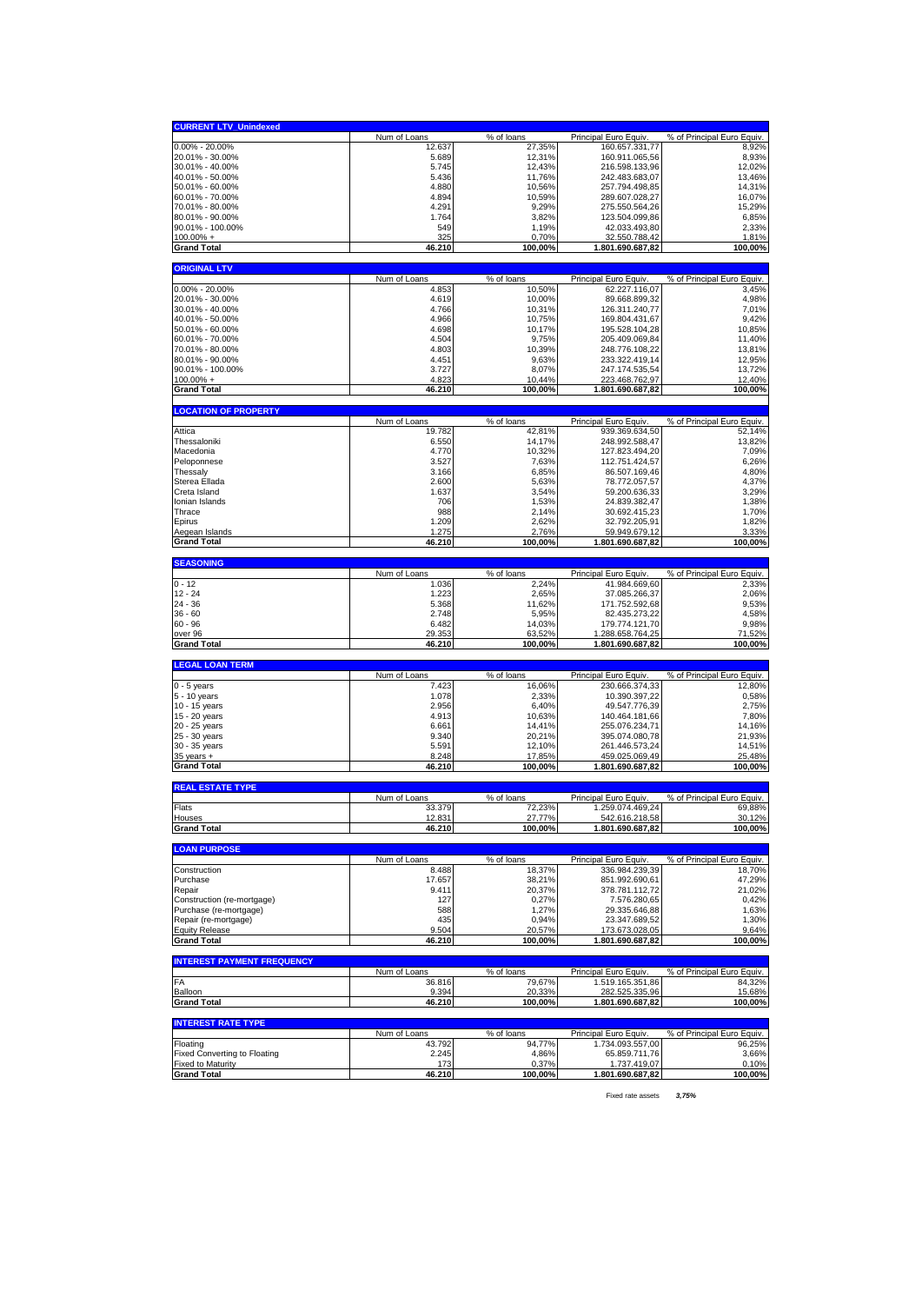| <b>CURRENT LTV_Unindexed</b>                                    |                        |                      |                                         |                                      |
|-----------------------------------------------------------------|------------------------|----------------------|-----------------------------------------|--------------------------------------|
|                                                                 | Num of Loans           | % of loans           | Principal Euro Equiv.                   | % of Principal Euro Equiv.           |
| $0.00\% - 20.00\%$                                              | 12.637                 | 27,35%               | 160.657.331,77                          | 8,92%                                |
| 20.01% - 30.00%                                                 | 5.689                  | 12,31%               | 160.911.065,56                          | 8,93%                                |
| 30.01% - 40.00%<br>40.01% - 50.00%                              | 5.745<br>5.436         | 12,43%<br>11,76%     | 216.598.133,96<br>242.483.683,07        | 12,02%<br>13,46%                     |
| 50.01% - 60.00%                                                 | 4.880                  | 10,56%               | 257.794.498,85                          | 14,31%                               |
| 60.01% - 70.00%                                                 | 4.894                  | 10,59%               | 289.607.028,27                          | 16,07%                               |
| 70.01% - 80.00%                                                 | 4.291                  | 9,29%                | 275.550.564,26                          | 15,29%                               |
| 80.01% - 90.00%                                                 | 1.764                  | 3,82%                | 123.504.099,86                          | 6,85%                                |
| 90.01% - 100.00%                                                | 549                    | 1,19%                | 42.033.493,80                           | 2,33%                                |
| $100.00\% +$<br><b>Grand Total</b>                              | 325<br>46.210          | 0,70%<br>100,00%     | 32.550.788,42<br>1.801.690.687,82       | 1,81%<br>100,00%                     |
|                                                                 |                        |                      |                                         |                                      |
| <b>ORIGINAL LTV</b>                                             |                        |                      |                                         |                                      |
|                                                                 | Num of Loans           | % of loans           | Principal Euro Equiv.                   | % of Principal Euro Equiv.           |
| $0.00\% - 20.00\%$<br>20.01% - 30.00%                           | 4.853<br>4.619         | 10,50%<br>10,00%     | 62.227.116,07<br>89.668.899,32          | 3,45%<br>4,98%                       |
| 30.01% - 40.00%                                                 | 4.766                  | 10,31%               | 126.311.240.77                          | 7,01%                                |
| 40.01% - 50.00%                                                 | 4.966                  | 10,75%               | 169.804.431,67                          | 9,42%                                |
| 50.01% - 60.00%                                                 | 4.698                  | 10,17%               | 195.528.104,28                          | 10,85%                               |
| 60.01% - 70.00%                                                 | 4.504                  | 9,75%                | 205.409.069,84                          | 11,40%                               |
| 70.01% - 80.00%                                                 | 4.803                  | 10,39%               | 248.776.108,22                          | 13,81%                               |
| 80.01% - 90.00%                                                 | 4.451                  | 9,63%                | 233.322.419,14                          | 12,95%                               |
| 90.01% - 100.00%<br>$100.00\%$ +                                | 3.727<br>4.823         | 8,07%<br>10,44%      | 247.174.535,54<br>223.468.762,97        | 13,72%<br>12,40%                     |
| <b>Grand Total</b>                                              | 46.210                 | 100,00%              | 1.801.690.687,82                        | 100,00%                              |
|                                                                 |                        |                      |                                         |                                      |
| <b>LOCATION OF PROPERTY</b>                                     |                        |                      |                                         |                                      |
| Attica                                                          | Num of Loans<br>19.782 | % of loans<br>42,81% | Principal Euro Equiv.                   | % of Principal Euro Equiv.<br>52,14% |
| Thessaloniki                                                    | 6.550                  | 14,17%               | 939.369.634,50<br>248.992.588,47        | 13,82%                               |
| Macedonia                                                       | 4.770                  | 10,32%               | 127.823.494,20                          | 7,09%                                |
| Peloponnese                                                     | 3.527                  | 7,63%                | 112.751.424,57                          | 6,26%                                |
| Thessaly                                                        | 3.166                  | 6,85%                | 86.507.169,46                           | 4,80%                                |
| Sterea Ellada                                                   | 2.600                  | 5,63%                | 78.772.057,57                           | 4,37%                                |
| Creta Island<br>Ionian Islands                                  | 1.637<br>706           | 3,54%<br>1,53%       | 59.200.636,33<br>24.839.382,47          | 3,29%<br>1,38%                       |
| Thrace                                                          | 988                    | 2,14%                | 30.692.415,23                           | 1,70%                                |
| Epirus                                                          | 1.209                  | 2,62%                | 32.792.205,91                           | 1,82%                                |
| Aegean Islands                                                  | 1.275                  | 2,76%                | 59.949.679,12                           | 3,33%                                |
| <b>Grand Total</b>                                              | 46.210                 | 100,00%              | 1.801.690.687,82                        | 100,00%                              |
| <b>SEASONING</b>                                                |                        |                      |                                         |                                      |
|                                                                 | Num of Loans           | % of loans           | Principal Euro Equiv.                   | % of Principal Euro Equiv.           |
| $0 - 12$                                                        | 1.036                  | 2,24%                | 41.984.669,60                           | 2,33%                                |
| $12 - 24$                                                       |                        |                      |                                         |                                      |
|                                                                 | 1.223                  | 2,65%                | 37.085.266,37                           | 2,06%                                |
| 24 - 36                                                         | 5.368                  | 11,62%               | 171.752.592,68                          | 9,53%                                |
| $36 - 60$                                                       | 2.748                  | 5,95%                | 82.435.273,22                           | 4,58%                                |
| $60 - 96$                                                       | 6.482                  | 14,03%               | 179.774.121,70                          | 9,98%                                |
| over 96<br><b>Grand Total</b>                                   | 29.353<br>46.210       | 63,52%<br>100,00%    | 1.288.658.764,25<br>1.801.690.687,82    | 71,52%<br>100,00%                    |
|                                                                 |                        |                      |                                         |                                      |
| <b>LEGAL LOAN TERM</b>                                          |                        |                      |                                         |                                      |
| $0 - 5$ years                                                   | Num of Loans<br>7.423  | % of loans<br>16,06% | Principal Euro Equiv.<br>230.666.374,33 | % of Principal Euro Equiv.<br>12,80% |
| 5 - 10 years                                                    | 1.078                  | 2,33%                | 10.390.397,22                           | 0,58%                                |
| 10 - 15 years                                                   | 2.956                  | 6,40%                | 49.547.776,39                           | 2,75%                                |
| 15 - 20 years                                                   | 4.913                  | 10,63%               | 140.464.181,66                          | 7,80%                                |
| 20 - 25 years                                                   | 6.661                  | 14,41%               | 255.076.234,71                          | 14,16%                               |
| 25 - 30 years<br>30 - 35 years                                  | 9.340<br>5.591         | 20,21%<br>12,10%     | 395.074.080,78<br>261.446.573,24        | 21,93%<br>14,51%                     |
| $35$ years $+$                                                  | 8.248                  | 17,85%               | 459.025.069,49                          | 25,48%                               |
| <b>Grand Total</b>                                              | 46.210                 | 100,00%              | 1.801.690.687,82                        | 100,00%                              |
|                                                                 |                        |                      |                                         |                                      |
| <b>REAL ESTATE TYPE</b>                                         | Num of Loans           | % of loans           | Principal Euro Equiv                    | % of Principal Euro Equiv.           |
| Flats                                                           | 33.379                 | 72,23%               | 1.259.074.469,24                        | 69,88%                               |
| Houses                                                          | 12.831                 | 27,77%               | 542.616.218,58                          | 30.12%                               |
| <b>Grand Total</b>                                              | 46.210                 | 100,00%              | 1.801.690.687,82                        | 100,00%                              |
|                                                                 |                        |                      |                                         |                                      |
| <b>LOAN PURPOSE</b>                                             | Num of Loans           | % of loans           | Principal Euro Equiv.                   | % of Principal Euro Equiv.           |
| Construction                                                    | 8.488                  | 18,37%               | 336.984.239,39                          | 18,70%                               |
| Purchase                                                        | 17.657                 | 38,21%               | 851.992.690,61                          | 47,29%                               |
| Repair                                                          | 9.411                  | 20,37%               | 378.781.112,72                          | 21,02%                               |
| Construction (re-mortgage)                                      | 127                    | 0,27%                | 7.576.280,65                            | 0,42%                                |
| Purchase (re-mortgage)<br>Repair (re-mortgage)                  | 588<br>435             | 1,27%<br>0,94%       | 29.335.646,88<br>23.347.689,52          | 1,63%<br>1,30%                       |
| <b>Equity Release</b>                                           | 9.504                  | 20,57%               | 173.673.028,05                          | 9,64%                                |
| <b>Grand Total</b>                                              | 46.210                 | 100,00%              | 1.801.690.687,82                        | 100,00%                              |
|                                                                 |                        |                      |                                         |                                      |
| <b>INTEREST PAYMENT FREQUENCY</b>                               | Num of Loans           | % of loans           | Principal Euro Equiv.                   | % of Principal Euro Equiv.           |
| FA                                                              | 36.816                 | 79,67%               | 1.519.165.351,86                        | 84,32%                               |
| Balloon                                                         | 9.394                  | 20,33%               | 282.525.335,96                          | 15,68%                               |
| <b>Grand Total</b>                                              | 46.210                 | 100,00%              | 1.801.690.687,82                        | 100,00%                              |
| <b>INTEREST RATE TYPE</b>                                       |                        |                      |                                         |                                      |
|                                                                 | Num of Loans           | % of loans           | Principal Euro Equiv.                   | % of Principal Euro Equiv.           |
| Floating                                                        | 43.792                 | 94,77%               | 1.734.093.557,00                        | 96,25%                               |
| <b>Fixed Converting to Floating</b><br><b>Fixed to Maturity</b> | 2.245<br>173           | 4,86%<br>0,37%       | 65.859.711,76<br>1.737.419,07           | 3,66%<br>0,10%                       |

Fixed rate assets *3,75%*